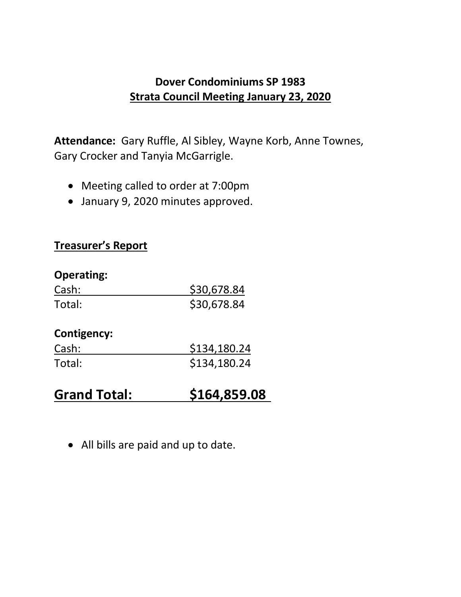## **Dover Condominiums SP 1983 Strata Council Meeting January 23, 2020**

**Attendance:** Gary Ruffle, Al Sibley, Wayne Korb, Anne Townes, Gary Crocker and Tanyia McGarrigle.

- Meeting called to order at 7:00pm
- January 9, 2020 minutes approved.

#### **Treasurer's Report**

| <b>Operating:</b>  |              |
|--------------------|--------------|
| Cash:              | \$30,678.84  |
| Total:             | \$30,678.84  |
| <b>Contigency:</b> |              |
| Cash:              | \$134,180.24 |
| Total:             | \$134,180.24 |
|                    |              |

- **Grand Total: \$164,859.08**
	- All bills are paid and up to date.